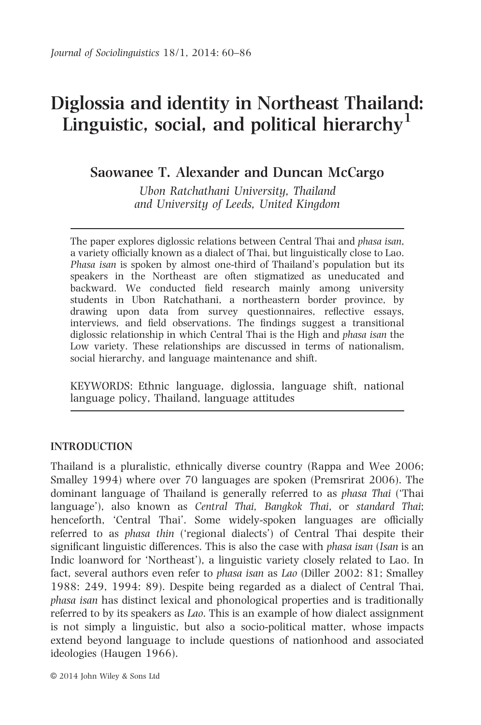# Diglossia and identity in Northeast Thailand: Linguistic, social, and political hierarchy<sup>1</sup>

# Saowanee T. Alexander and Duncan McCargo

Ubon Ratchathani University, Thailand and University of Leeds, United Kingdom

The paper explores diglossic relations between Central Thai and phasa isan, a variety officially known as a dialect of Thai, but linguistically close to Lao. Phasa isan is spoken by almost one-third of Thailand's population but its speakers in the Northeast are often stigmatized as uneducated and backward. We conducted field research mainly among university students in Ubon Ratchathani, a northeastern border province, by drawing upon data from survey questionnaires, reflective essays, interviews, and field observations. The findings suggest a transitional diglossic relationship in which Central Thai is the High and phasa isan the Low variety. These relationships are discussed in terms of nationalism, social hierarchy, and language maintenance and shift.

KEYWORDS: Ethnic language, diglossia, language shift, national language policy, Thailand, language attitudes

# INTRODUCTION

Thailand is a pluralistic, ethnically diverse country (Rappa and Wee 2006; Smalley 1994) where over 70 languages are spoken (Premsrirat 2006). The dominant language of Thailand is generally referred to as phasa Thai ('Thai language'), also known as Central Thai, Bangkok Thai, or standard Thai; henceforth, 'Central Thai'. Some widely-spoken languages are officially referred to as phasa thin ('regional dialects') of Central Thai despite their significant linguistic differences. This is also the case with phasa isan (Isan is an Indic loanword for 'Northeast'), a linguistic variety closely related to Lao. In fact, several authors even refer to phasa isan as Lao (Diller 2002: 81; Smalley 1988: 249, 1994: 89). Despite being regarded as a dialect of Central Thai, phasa isan has distinct lexical and phonological properties and is traditionally referred to by its speakers as Lao. This is an example of how dialect assignment is not simply a linguistic, but also a socio-political matter, whose impacts extend beyond language to include questions of nationhood and associated ideologies (Haugen 1966).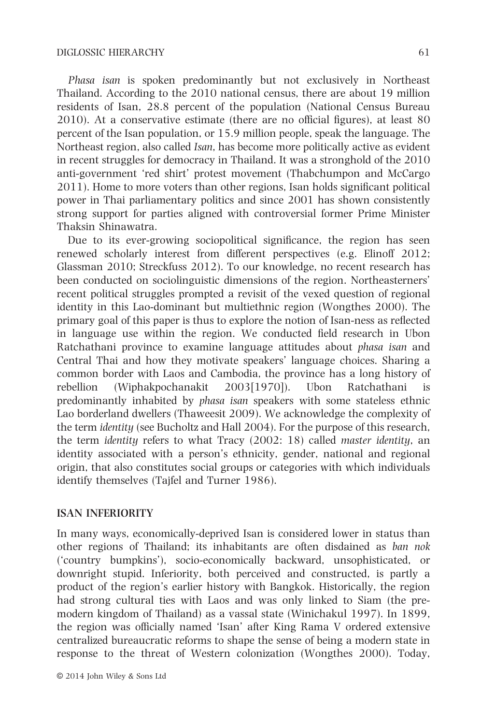Phasa isan is spoken predominantly but not exclusively in Northeast Thailand. According to the 2010 national census, there are about 19 million residents of Isan, 28.8 percent of the population (National Census Bureau 2010). At a conservative estimate (there are no official figures), at least 80 percent of the Isan population, or 15.9 million people, speak the language. The Northeast region, also called Isan, has become more politically active as evident in recent struggles for democracy in Thailand. It was a stronghold of the 2010 anti-government 'red shirt' protest movement (Thabchumpon and McCargo 2011). Home to more voters than other regions, Isan holds significant political power in Thai parliamentary politics and since 2001 has shown consistently strong support for parties aligned with controversial former Prime Minister Thaksin Shinawatra.

Due to its ever-growing sociopolitical significance, the region has seen renewed scholarly interest from different perspectives (e.g. Elinoff 2012; Glassman 2010; Streckfuss 2012). To our knowledge, no recent research has been conducted on sociolinguistic dimensions of the region. Northeasterners' recent political struggles prompted a revisit of the vexed question of regional identity in this Lao-dominant but multiethnic region (Wongthes 2000). The primary goal of this paper is thus to explore the notion of Isan-ness as reflected in language use within the region. We conducted field research in Ubon Ratchathani province to examine language attitudes about phasa isan and Central Thai and how they motivate speakers' language choices. Sharing a common border with Laos and Cambodia, the province has a long history of rebellion (Wiphakpochanakit 2003[1970]). Ubon Ratchathani is predominantly inhabited by phasa isan speakers with some stateless ethnic Lao borderland dwellers (Thaweesit 2009). We acknowledge the complexity of the term identity (see Bucholtz and Hall 2004). For the purpose of this research, the term identity refers to what Tracy (2002: 18) called master identity, an identity associated with a person's ethnicity, gender, national and regional origin, that also constitutes social groups or categories with which individuals identify themselves (Tajfel and Turner 1986).

#### ISAN INFERIORITY

In many ways, economically-deprived Isan is considered lower in status than other regions of Thailand; its inhabitants are often disdained as ban nok ('country bumpkins'), socio-economically backward, unsophisticated, or downright stupid. Inferiority, both perceived and constructed, is partly a product of the region's earlier history with Bangkok. Historically, the region had strong cultural ties with Laos and was only linked to Siam (the premodern kingdom of Thailand) as a vassal state (Winichakul 1997). In 1899, the region was officially named 'Isan' after King Rama V ordered extensive centralized bureaucratic reforms to shape the sense of being a modern state in response to the threat of Western colonization (Wongthes 2000). Today,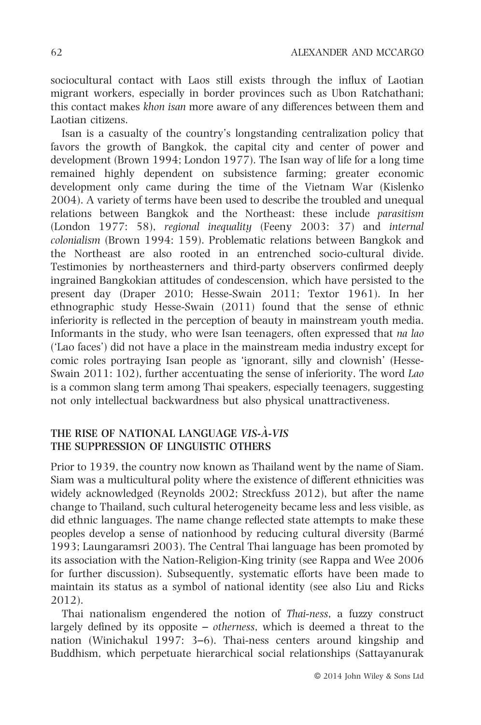sociocultural contact with Laos still exists through the influx of Laotian migrant workers, especially in border provinces such as Ubon Ratchathani; this contact makes khon isan more aware of any differences between them and Laotian citizens.

Isan is a casualty of the country's longstanding centralization policy that favors the growth of Bangkok, the capital city and center of power and development (Brown 1994; London 1977). The Isan way of life for a long time remained highly dependent on subsistence farming; greater economic development only came during the time of the Vietnam War (Kislenko 2004). A variety of terms have been used to describe the troubled and unequal relations between Bangkok and the Northeast: these include parasitism (London 1977: 58), regional inequality (Feeny 2003: 37) and internal colonialism (Brown 1994: 159). Problematic relations between Bangkok and the Northeast are also rooted in an entrenched socio-cultural divide. Testimonies by northeasterners and third-party observers confirmed deeply ingrained Bangkokian attitudes of condescension, which have persisted to the present day (Draper 2010; Hesse-Swain 2011; Textor 1961). In her ethnographic study Hesse-Swain (2011) found that the sense of ethnic inferiority is reflected in the perception of beauty in mainstream youth media. Informants in the study, who were Isan teenagers, often expressed that na lao ('Lao faces') did not have a place in the mainstream media industry except for comic roles portraying Isan people as 'ignorant, silly and clownish' (Hesse-Swain 2011: 102), further accentuating the sense of inferiority. The word Lao is a common slang term among Thai speakers, especially teenagers, suggesting not only intellectual backwardness but also physical unattractiveness.

# THE RISE OF NATIONAL LANGUAGE VIS-A-VIS THE SUPPRESSION OF LINGUISTIC OTHERS

Prior to 1939, the country now known as Thailand went by the name of Siam. Siam was a multicultural polity where the existence of different ethnicities was widely acknowledged (Reynolds 2002; Streckfuss 2012), but after the name change to Thailand, such cultural heterogeneity became less and less visible, as did ethnic languages. The name change reflected state attempts to make these peoples develop a sense of nationhood by reducing cultural diversity (Barme 1993; Laungaramsri 2003). The Central Thai language has been promoted by its association with the Nation-Religion-King trinity (see Rappa and Wee 2006 for further discussion). Subsequently, systematic efforts have been made to maintain its status as a symbol of national identity (see also Liu and Ricks 2012).

Thai nationalism engendered the notion of Thai-ness, a fuzzy construct largely defined by its opposite – otherness, which is deemed a threat to the nation (Winichakul 1997: 3–6). Thai-ness centers around kingship and Buddhism, which perpetuate hierarchical social relationships (Sattayanurak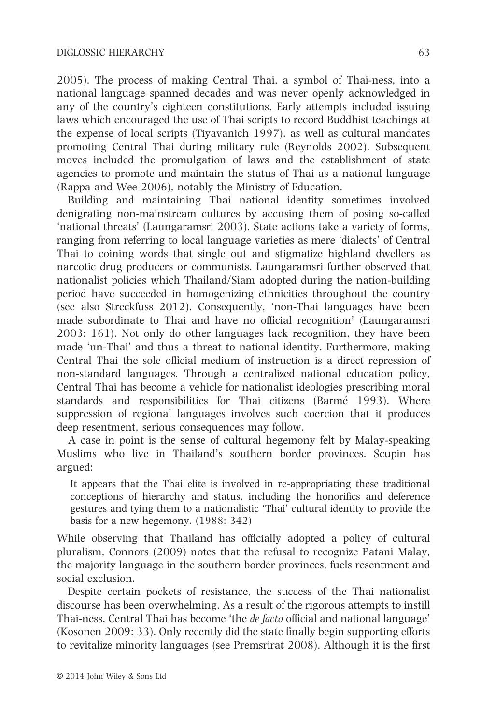2005). The process of making Central Thai, a symbol of Thai-ness, into a national language spanned decades and was never openly acknowledged in any of the country's eighteen constitutions. Early attempts included issuing laws which encouraged the use of Thai scripts to record Buddhist teachings at the expense of local scripts (Tiyavanich 1997), as well as cultural mandates promoting Central Thai during military rule (Reynolds 2002). Subsequent moves included the promulgation of laws and the establishment of state agencies to promote and maintain the status of Thai as a national language (Rappa and Wee 2006), notably the Ministry of Education.

Building and maintaining Thai national identity sometimes involved denigrating non-mainstream cultures by accusing them of posing so-called 'national threats' (Laungaramsri 2003). State actions take a variety of forms, ranging from referring to local language varieties as mere 'dialects' of Central Thai to coining words that single out and stigmatize highland dwellers as narcotic drug producers or communists. Laungaramsri further observed that nationalist policies which Thailand/Siam adopted during the nation-building period have succeeded in homogenizing ethnicities throughout the country (see also Streckfuss 2012). Consequently, 'non-Thai languages have been made subordinate to Thai and have no official recognition' (Laungaramsri 2003: 161). Not only do other languages lack recognition, they have been made 'un-Thai' and thus a threat to national identity. Furthermore, making Central Thai the sole official medium of instruction is a direct repression of non-standard languages. Through a centralized national education policy, Central Thai has become a vehicle for nationalist ideologies prescribing moral standards and responsibilities for Thai citizens (Barme 1993). Where suppression of regional languages involves such coercion that it produces deep resentment, serious consequences may follow.

A case in point is the sense of cultural hegemony felt by Malay-speaking Muslims who live in Thailand's southern border provinces. Scupin has argued:

It appears that the Thai elite is involved in re-appropriating these traditional conceptions of hierarchy and status, including the honorifics and deference gestures and tying them to a nationalistic 'Thai' cultural identity to provide the basis for a new hegemony. (1988: 342)

While observing that Thailand has officially adopted a policy of cultural pluralism, Connors (2009) notes that the refusal to recognize Patani Malay, the majority language in the southern border provinces, fuels resentment and social exclusion.

Despite certain pockets of resistance, the success of the Thai nationalist discourse has been overwhelming. As a result of the rigorous attempts to instill Thai-ness, Central Thai has become 'the de facto official and national language' (Kosonen 2009: 33). Only recently did the state finally begin supporting efforts to revitalize minority languages (see Premsrirat 2008). Although it is the first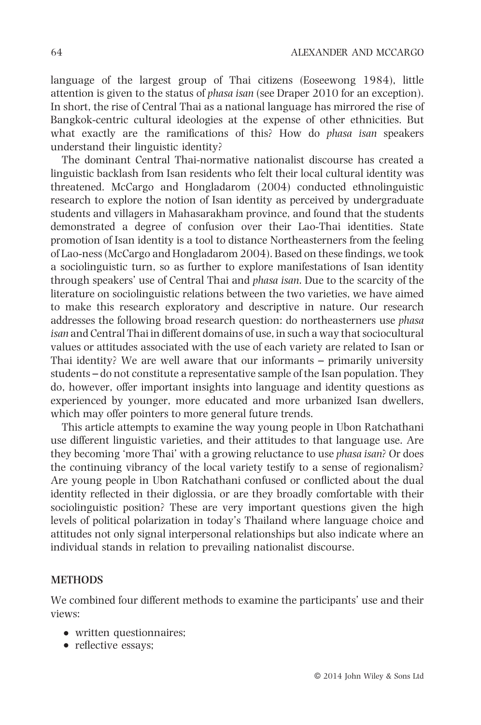language of the largest group of Thai citizens (Eoseewong 1984), little attention is given to the status of phasa isan (see Draper 2010 for an exception). In short, the rise of Central Thai as a national language has mirrored the rise of Bangkok-centric cultural ideologies at the expense of other ethnicities. But what exactly are the ramifications of this? How do phasa isan speakers understand their linguistic identity?

The dominant Central Thai-normative nationalist discourse has created a linguistic backlash from Isan residents who felt their local cultural identity was threatened. McCargo and Hongladarom (2004) conducted ethnolinguistic research to explore the notion of Isan identity as perceived by undergraduate students and villagers in Mahasarakham province, and found that the students demonstrated a degree of confusion over their Lao-Thai identities. State promotion of Isan identity is a tool to distance Northeasterners from the feeling of Lao-ness (McCargo and Hongladarom 2004). Based on these findings, we took a sociolinguistic turn, so as further to explore manifestations of Isan identity through speakers' use of Central Thai and phasa isan. Due to the scarcity of the literature on sociolinguistic relations between the two varieties, we have aimed to make this research exploratory and descriptive in nature. Our research addresses the following broad research question: do northeasterners use phasa isan and Central Thai in different domains of use, in such a way that sociocultural values or attitudes associated with the use of each variety are related to Isan or Thai identity? We are well aware that our informants – primarily university students – do not constitute a representative sample of the Isan population. They do, however, offer important insights into language and identity questions as experienced by younger, more educated and more urbanized Isan dwellers, which may offer pointers to more general future trends.

This article attempts to examine the way young people in Ubon Ratchathani use different linguistic varieties, and their attitudes to that language use. Are they becoming 'more Thai' with a growing reluctance to use phasa isan? Or does the continuing vibrancy of the local variety testify to a sense of regionalism? Are young people in Ubon Ratchathani confused or conflicted about the dual identity reflected in their diglossia, or are they broadly comfortable with their sociolinguistic position? These are very important questions given the high levels of political polarization in today's Thailand where language choice and attitudes not only signal interpersonal relationships but also indicate where an individual stands in relation to prevailing nationalist discourse.

#### **METHODS**

We combined four different methods to examine the participants' use and their views:

- written questionnaires;
- reflective essays;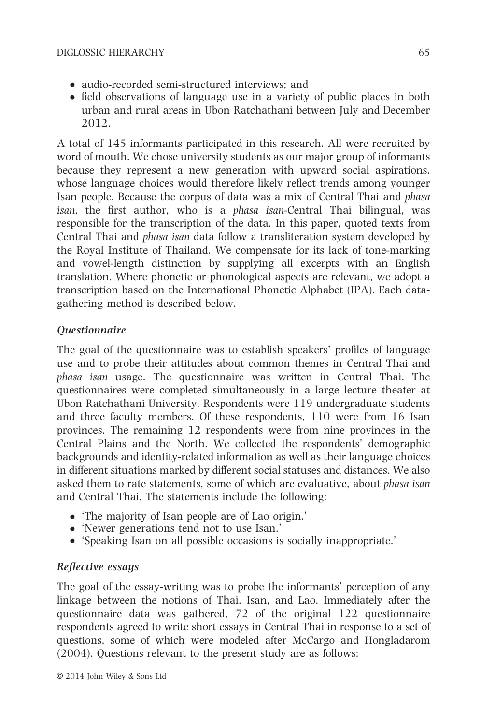- audio-recorded semi-structured interviews: and
- field observations of language use in a variety of public places in both urban and rural areas in Ubon Ratchathani between July and December 2012.

A total of 145 informants participated in this research. All were recruited by word of mouth. We chose university students as our major group of informants because they represent a new generation with upward social aspirations, whose language choices would therefore likely reflect trends among younger Isan people. Because the corpus of data was a mix of Central Thai and phasa isan, the first author, who is a phasa isan-Central Thai bilingual, was responsible for the transcription of the data. In this paper, quoted texts from Central Thai and phasa isan data follow a transliteration system developed by the Royal Institute of Thailand. We compensate for its lack of tone-marking and vowel-length distinction by supplying all excerpts with an English translation. Where phonetic or phonological aspects are relevant, we adopt a transcription based on the International Phonetic Alphabet (IPA). Each datagathering method is described below.

# Questionnaire

The goal of the questionnaire was to establish speakers' profiles of language use and to probe their attitudes about common themes in Central Thai and phasa isan usage. The questionnaire was written in Central Thai. The questionnaires were completed simultaneously in a large lecture theater at Ubon Ratchathani University. Respondents were 119 undergraduate students and three faculty members. Of these respondents, 110 were from 16 Isan provinces. The remaining 12 respondents were from nine provinces in the Central Plains and the North. We collected the respondents' demographic backgrounds and identity-related information as well as their language choices in different situations marked by different social statuses and distances. We also asked them to rate statements, some of which are evaluative, about phasa isan and Central Thai. The statements include the following:

- The majority of Isan people are of Lao origin.'
- 'Newer generations tend not to use Isan.'
- 'Speaking Isan on all possible occasions is socially inappropriate.'

# Reflective essays

The goal of the essay-writing was to probe the informants' perception of any linkage between the notions of Thai, Isan, and Lao. Immediately after the questionnaire data was gathered, 72 of the original 122 questionnaire respondents agreed to write short essays in Central Thai in response to a set of questions, some of which were modeled after McCargo and Hongladarom (2004). Questions relevant to the present study are as follows: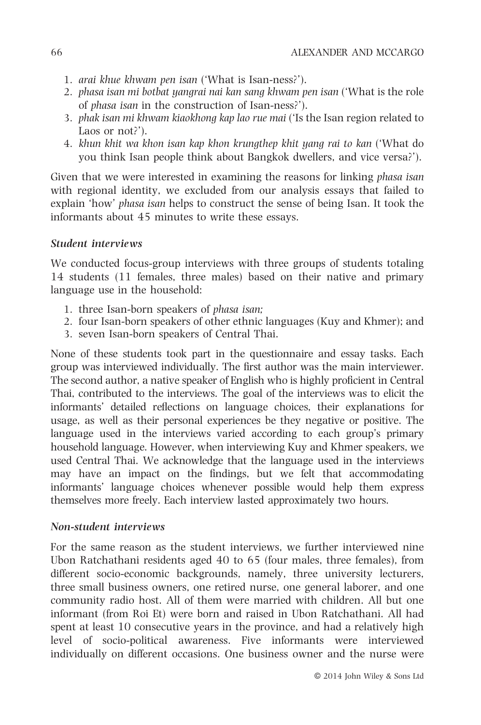- 1. arai khue khwam pen isan ('What is Isan-ness?').
- 2. phasa isan mi botbat yangrai nai kan sang khwam pen isan ('What is the role of phasa isan in the construction of Isan-ness?').
- 3. phak isan mi khwam kiaokhong kap lao rue mai ('Is the Isan region related to Laos or not?').
- 4. khun khit wa khon isan kap khon krungthep khit yang rai to kan ('What do you think Isan people think about Bangkok dwellers, and vice versa?').

Given that we were interested in examining the reasons for linking phasa isan with regional identity, we excluded from our analysis essays that failed to explain 'how' phasa isan helps to construct the sense of being Isan. It took the informants about 45 minutes to write these essays.

# Student interviews

We conducted focus-group interviews with three groups of students totaling 14 students (11 females, three males) based on their native and primary language use in the household:

- 1. three Isan-born speakers of phasa isan;
- 2. four Isan-born speakers of other ethnic languages (Kuy and Khmer); and
- 3. seven Isan-born speakers of Central Thai.

None of these students took part in the questionnaire and essay tasks. Each group was interviewed individually. The first author was the main interviewer. The second author, a native speaker of English who is highly proficient in Central Thai, contributed to the interviews. The goal of the interviews was to elicit the informants' detailed reflections on language choices, their explanations for usage, as well as their personal experiences be they negative or positive. The language used in the interviews varied according to each group's primary household language. However, when interviewing Kuy and Khmer speakers, we used Central Thai. We acknowledge that the language used in the interviews may have an impact on the findings, but we felt that accommodating informants' language choices whenever possible would help them express themselves more freely. Each interview lasted approximately two hours.

# Non-student interviews

For the same reason as the student interviews, we further interviewed nine Ubon Ratchathani residents aged 40 to 65 (four males, three females), from different socio-economic backgrounds, namely, three university lecturers, three small business owners, one retired nurse, one general laborer, and one community radio host. All of them were married with children. All but one informant (from Roi Et) were born and raised in Ubon Ratchathani. All had spent at least 10 consecutive years in the province, and had a relatively high level of socio-political awareness. Five informants were interviewed individually on different occasions. One business owner and the nurse were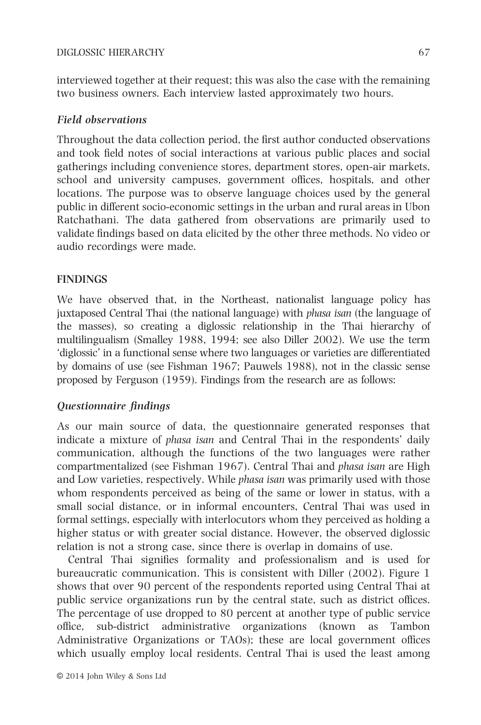interviewed together at their request; this was also the case with the remaining two business owners. Each interview lasted approximately two hours.

#### Field observations

Throughout the data collection period, the first author conducted observations and took field notes of social interactions at various public places and social gatherings including convenience stores, department stores, open-air markets, school and university campuses, government offices, hospitals, and other locations. The purpose was to observe language choices used by the general public in different socio-economic settings in the urban and rural areas in Ubon Ratchathani. The data gathered from observations are primarily used to validate findings based on data elicited by the other three methods. No video or audio recordings were made.

# FINDINGS

We have observed that, in the Northeast, nationalist language policy has juxtaposed Central Thai (the national language) with phasa isan (the language of the masses), so creating a diglossic relationship in the Thai hierarchy of multilingualism (Smalley 1988, 1994; see also Diller 2002). We use the term 'diglossic' in a functional sense where two languages or varieties are differentiated by domains of use (see Fishman 1967; Pauwels 1988), not in the classic sense proposed by Ferguson (1959). Findings from the research are as follows:

# Questionnaire findings

As our main source of data, the questionnaire generated responses that indicate a mixture of phasa isan and Central Thai in the respondents' daily communication, although the functions of the two languages were rather compartmentalized (see Fishman 1967). Central Thai and phasa isan are High and Low varieties, respectively. While phasa isan was primarily used with those whom respondents perceived as being of the same or lower in status, with a small social distance, or in informal encounters, Central Thai was used in formal settings, especially with interlocutors whom they perceived as holding a higher status or with greater social distance. However, the observed diglossic relation is not a strong case, since there is overlap in domains of use.

Central Thai signifies formality and professionalism and is used for bureaucratic communication. This is consistent with Diller (2002). Figure 1 shows that over 90 percent of the respondents reported using Central Thai at public service organizations run by the central state, such as district offices. The percentage of use dropped to 80 percent at another type of public service office, sub-district administrative organizations (known as Tambon Administrative Organizations or TAOs); these are local government offices which usually employ local residents. Central Thai is used the least among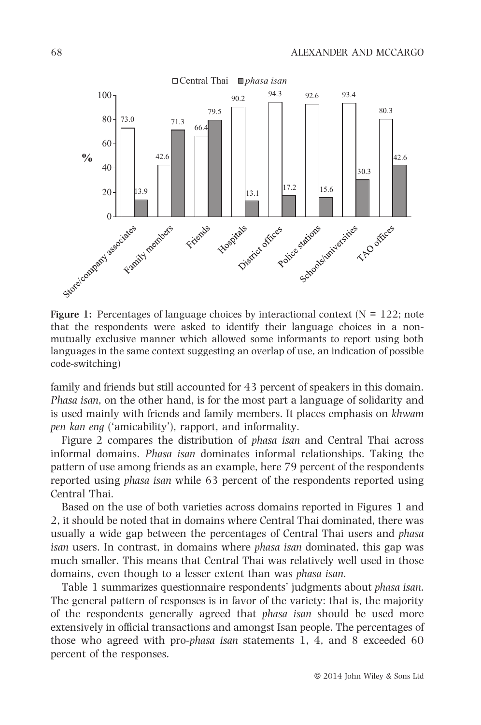

Figure 1: Percentages of language choices by interactional context ( $N = 122$ ; note that the respondents were asked to identify their language choices in a nonmutually exclusive manner which allowed some informants to report using both languages in the same context suggesting an overlap of use, an indication of possible code-switching)

family and friends but still accounted for 43 percent of speakers in this domain. Phasa isan, on the other hand, is for the most part a language of solidarity and is used mainly with friends and family members. It places emphasis on khwam pen kan eng ('amicability'), rapport, and informality.

Figure 2 compares the distribution of phasa isan and Central Thai across informal domains. Phasa isan dominates informal relationships. Taking the pattern of use among friends as an example, here 79 percent of the respondents reported using phasa isan while 63 percent of the respondents reported using Central Thai.

Based on the use of both varieties across domains reported in Figures 1 and 2, it should be noted that in domains where Central Thai dominated, there was usually a wide gap between the percentages of Central Thai users and phasa isan users. In contrast, in domains where phasa isan dominated, this gap was much smaller. This means that Central Thai was relatively well used in those domains, even though to a lesser extent than was phasa isan.

Table 1 summarizes questionnaire respondents' judgments about phasa isan. The general pattern of responses is in favor of the variety: that is, the majority of the respondents generally agreed that phasa isan should be used more extensively in official transactions and amongst Isan people. The percentages of those who agreed with pro-phasa isan statements 1, 4, and 8 exceeded 60 percent of the responses.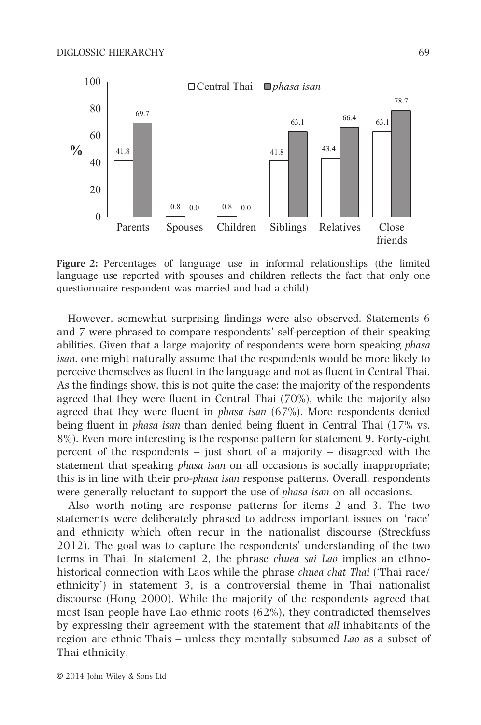

Figure 2: Percentages of language use in informal relationships (the limited language use reported with spouses and children reflects the fact that only one questionnaire respondent was married and had a child)

However, somewhat surprising findings were also observed. Statements 6 and 7 were phrased to compare respondents' self-perception of their speaking abilities. Given that a large majority of respondents were born speaking phasa isan, one might naturally assume that the respondents would be more likely to perceive themselves as fluent in the language and not as fluent in Central Thai. As the findings show, this is not quite the case: the majority of the respondents agreed that they were fluent in Central Thai (70%), while the majority also agreed that they were fluent in phasa isan (67%). More respondents denied being fluent in phasa isan than denied being fluent in Central Thai (17% vs. 8%). Even more interesting is the response pattern for statement 9. Forty-eight percent of the respondents – just short of a majority – disagreed with the statement that speaking phasa isan on all occasions is socially inappropriate; this is in line with their pro-phasa isan response patterns. Overall, respondents were generally reluctant to support the use of phasa isan on all occasions.

Also worth noting are response patterns for items 2 and 3. The two statements were deliberately phrased to address important issues on 'race' and ethnicity which often recur in the nationalist discourse (Streckfuss 2012). The goal was to capture the respondents' understanding of the two terms in Thai. In statement 2, the phrase chuea sai Lao implies an ethnohistorical connection with Laos while the phrase *chuea chat Thai* ('Thai race/ ethnicity') in statement 3, is a controversial theme in Thai nationalist discourse (Hong 2000). While the majority of the respondents agreed that most Isan people have Lao ethnic roots (62%), they contradicted themselves by expressing their agreement with the statement that all inhabitants of the region are ethnic Thais – unless they mentally subsumed Lao as a subset of Thai ethnicity.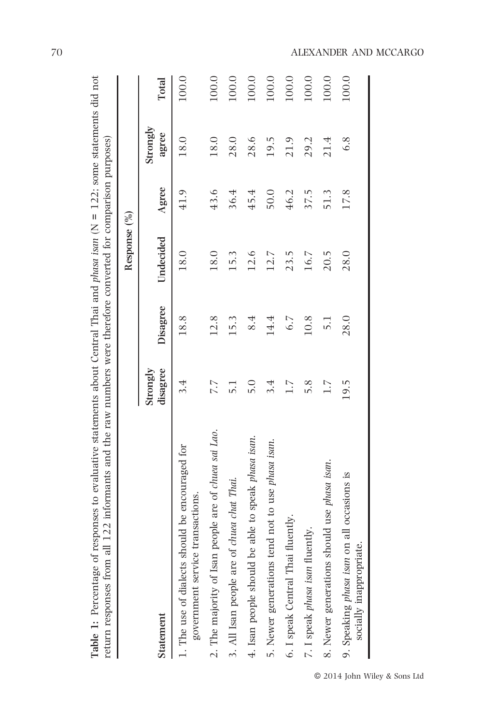| Table 1: Percentage of responses to evaluative statements about Central Thai and <i>phasa</i> isan (N = 122; some statements did not<br>return responses from all 122 informants and the raw numbers were therefore converted for comparison purposes) |                      |                  |              |       |                   |       |
|--------------------------------------------------------------------------------------------------------------------------------------------------------------------------------------------------------------------------------------------------------|----------------------|------------------|--------------|-------|-------------------|-------|
|                                                                                                                                                                                                                                                        |                      |                  | Response (%) |       |                   |       |
| Statement                                                                                                                                                                                                                                              | Strongly<br>disagree | Disagree         | Undecided    | Agree | Strongly<br>agree | Total |
| 1. The use of dialects should be encouraged for<br>government service transactions.                                                                                                                                                                    | 3.4                  | 18.8             | 18.0         | 41.9  | 18.0              | 100.0 |
| 2. The majority of Isan people are of chuea sai Lao.                                                                                                                                                                                                   | 7.7                  | 12.8             | 18.0         | 43.6  | 18.0              | 100.0 |
| 3. All Isan people are of chuea chat Thai.                                                                                                                                                                                                             | $\frac{1}{2}$        | 15.3             | 15.3         | 36.4  | 28.0              | 100.0 |
| 4. Isan people should be able to speak phasa isan.                                                                                                                                                                                                     | 5.0                  | 8.4              | 12.6         | 45.4  | 28.6              | 100.0 |
| 5. Newer generations tend not to use phasa isan.                                                                                                                                                                                                       | 3.4                  | 14.4             | 12.7         | 50.0  | 19.5              | 100.0 |
| 6. I speak Central Thai fluently.                                                                                                                                                                                                                      | 1.7                  | 6.7              | 23.5         | 46.2  | 21.9              | 100.0 |
| 7. I speak phasa isan fluently.                                                                                                                                                                                                                        | 5.8                  | 10.8             | 16.7         | 37.5  | 29.2              | 100.0 |
| 8. Newer generations should use phasa isan.                                                                                                                                                                                                            | 1.7                  | $\overline{5}$ . | 20.5         | 51.3  | 21.4              | 100.0 |
| 9. Speaking phasa isan on all occasions is<br>socially inappropriate.                                                                                                                                                                                  | 19.5                 | 28.0             | 28.0         | 17.8  | 6.8               | 100.0 |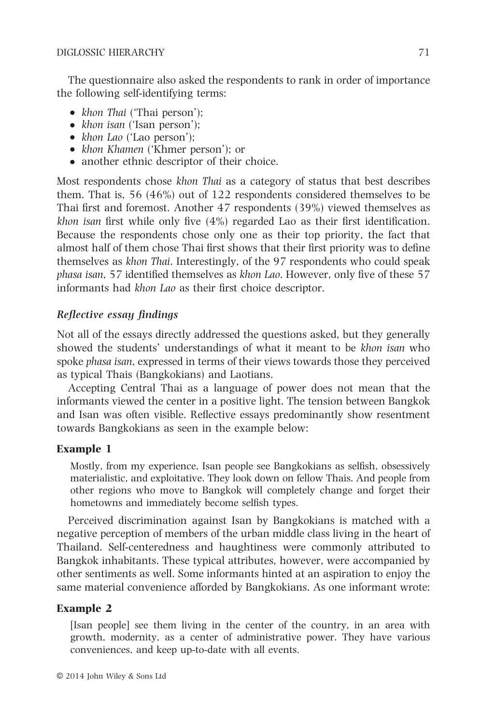The questionnaire also asked the respondents to rank in order of importance the following self-identifying terms:

- khon Thai ('Thai person');
- khon isan ('Isan person');
- khon Lao ('Lao person');
- khon Khamen ('Khmer person'); or
- another ethnic descriptor of their choice.

Most respondents chose khon Thai as a category of status that best describes them. That is, 56 (46%) out of 122 respondents considered themselves to be Thai first and foremost. Another 47 respondents (39%) viewed themselves as khon isan first while only five (4%) regarded Lao as their first identification. Because the respondents chose only one as their top priority, the fact that almost half of them chose Thai first shows that their first priority was to define themselves as khon Thai. Interestingly, of the 97 respondents who could speak phasa isan, 57 identified themselves as khon Lao. However, only five of these 57 informants had khon Lao as their first choice descriptor.

# Reflective essay findings

Not all of the essays directly addressed the questions asked, but they generally showed the students' understandings of what it meant to be khon isan who spoke phasa isan, expressed in terms of their views towards those they perceived as typical Thais (Bangkokians) and Laotians.

Accepting Central Thai as a language of power does not mean that the informants viewed the center in a positive light. The tension between Bangkok and Isan was often visible. Reflective essays predominantly show resentment towards Bangkokians as seen in the example below:

# Example 1

Mostly, from my experience, Isan people see Bangkokians as selfish, obsessively materialistic, and exploitative. They look down on fellow Thais. And people from other regions who move to Bangkok will completely change and forget their hometowns and immediately become selfish types.

Perceived discrimination against Isan by Bangkokians is matched with a negative perception of members of the urban middle class living in the heart of Thailand. Self-centeredness and haughtiness were commonly attributed to Bangkok inhabitants. These typical attributes, however, were accompanied by other sentiments as well. Some informants hinted at an aspiration to enjoy the same material convenience afforded by Bangkokians. As one informant wrote:

# Example 2

[Isan people] see them living in the center of the country, in an area with growth, modernity, as a center of administrative power. They have various conveniences, and keep up-to-date with all events.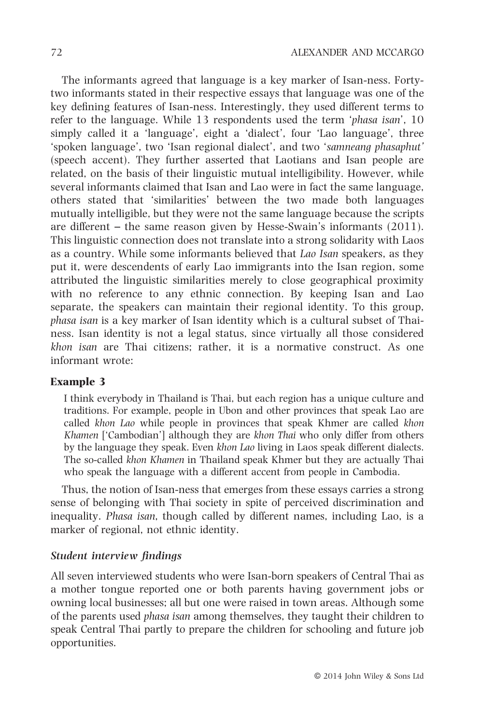The informants agreed that language is a key marker of Isan-ness. Fortytwo informants stated in their respective essays that language was one of the key defining features of Isan-ness. Interestingly, they used different terms to refer to the language. While 13 respondents used the term 'phasa isan', 10 simply called it a 'language', eight a 'dialect', four 'Lao language', three 'spoken language', two 'Isan regional dialect', and two 'samneang phasaphut' (speech accent). They further asserted that Laotians and Isan people are related, on the basis of their linguistic mutual intelligibility. However, while several informants claimed that Isan and Lao were in fact the same language, others stated that 'similarities' between the two made both languages mutually intelligible, but they were not the same language because the scripts are different – the same reason given by Hesse-Swain's informants (2011). This linguistic connection does not translate into a strong solidarity with Laos as a country. While some informants believed that Lao Isan speakers, as they put it, were descendents of early Lao immigrants into the Isan region, some attributed the linguistic similarities merely to close geographical proximity with no reference to any ethnic connection. By keeping Isan and Lao separate, the speakers can maintain their regional identity. To this group, phasa isan is a key marker of Isan identity which is a cultural subset of Thainess. Isan identity is not a legal status, since virtually all those considered khon isan are Thai citizens; rather, it is a normative construct. As one informant wrote:

#### Example 3

I think everybody in Thailand is Thai, but each region has a unique culture and traditions. For example, people in Ubon and other provinces that speak Lao are called khon Lao while people in provinces that speak Khmer are called khon Khamen ['Cambodian'] although they are khon Thai who only differ from others by the language they speak. Even khon Lao living in Laos speak different dialects. The so-called khon Khamen in Thailand speak Khmer but they are actually Thai who speak the language with a different accent from people in Cambodia.

Thus, the notion of Isan-ness that emerges from these essays carries a strong sense of belonging with Thai society in spite of perceived discrimination and inequality. Phasa isan, though called by different names, including Lao, is a marker of regional, not ethnic identity.

#### Student interview findings

All seven interviewed students who were Isan-born speakers of Central Thai as a mother tongue reported one or both parents having government jobs or owning local businesses; all but one were raised in town areas. Although some of the parents used phasa isan among themselves, they taught their children to speak Central Thai partly to prepare the children for schooling and future job opportunities.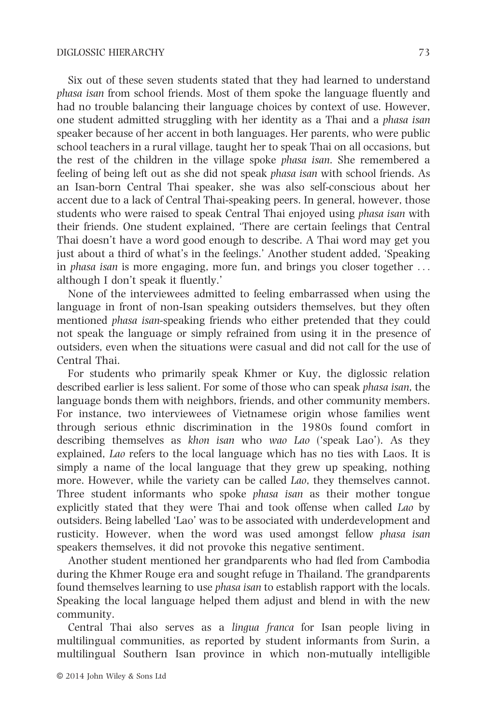Six out of these seven students stated that they had learned to understand phasa isan from school friends. Most of them spoke the language fluently and had no trouble balancing their language choices by context of use. However, one student admitted struggling with her identity as a Thai and a phasa isan speaker because of her accent in both languages. Her parents, who were public school teachers in a rural village, taught her to speak Thai on all occasions, but the rest of the children in the village spoke phasa isan. She remembered a feeling of being left out as she did not speak phasa isan with school friends. As an Isan-born Central Thai speaker, she was also self-conscious about her accent due to a lack of Central Thai-speaking peers. In general, however, those students who were raised to speak Central Thai enjoyed using phasa isan with their friends. One student explained, 'There are certain feelings that Central Thai doesn't have a word good enough to describe. A Thai word may get you just about a third of what's in the feelings.' Another student added, 'Speaking in phasa isan is more engaging, more fun, and brings you closer together ... although I don't speak it fluently.'

None of the interviewees admitted to feeling embarrassed when using the language in front of non-Isan speaking outsiders themselves, but they often mentioned phasa isan-speaking friends who either pretended that they could not speak the language or simply refrained from using it in the presence of outsiders, even when the situations were casual and did not call for the use of Central Thai.

For students who primarily speak Khmer or Kuy, the diglossic relation described earlier is less salient. For some of those who can speak phasa isan, the language bonds them with neighbors, friends, and other community members. For instance, two interviewees of Vietnamese origin whose families went through serious ethnic discrimination in the 1980s found comfort in describing themselves as khon isan who wao Lao ('speak Lao'). As they explained, Lao refers to the local language which has no ties with Laos. It is simply a name of the local language that they grew up speaking, nothing more. However, while the variety can be called Lao, they themselves cannot. Three student informants who spoke phasa isan as their mother tongue explicitly stated that they were Thai and took offense when called Lao by outsiders. Being labelled 'Lao' was to be associated with underdevelopment and rusticity. However, when the word was used amongst fellow phasa isan speakers themselves, it did not provoke this negative sentiment.

Another student mentioned her grandparents who had fled from Cambodia during the Khmer Rouge era and sought refuge in Thailand. The grandparents found themselves learning to use phasa isan to establish rapport with the locals. Speaking the local language helped them adjust and blend in with the new community.

Central Thai also serves as a lingua franca for Isan people living in multilingual communities, as reported by student informants from Surin, a multilingual Southern Isan province in which non-mutually intelligible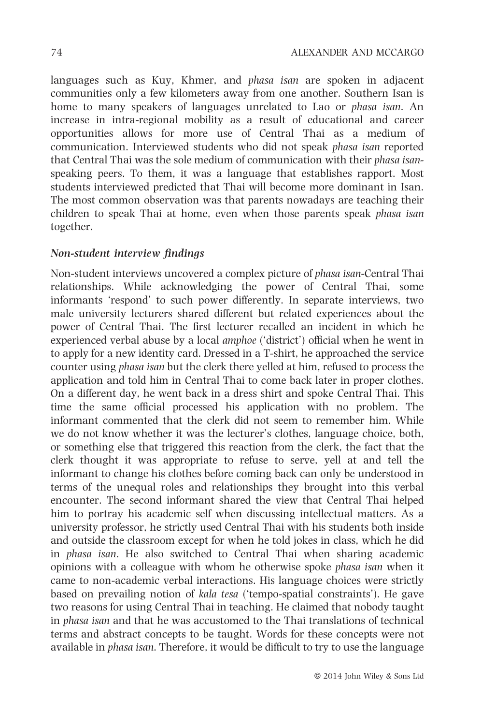languages such as Kuy, Khmer, and phasa isan are spoken in adjacent communities only a few kilometers away from one another. Southern Isan is home to many speakers of languages unrelated to Lao or phasa isan. An increase in intra-regional mobility as a result of educational and career opportunities allows for more use of Central Thai as a medium of communication. Interviewed students who did not speak phasa isan reported that Central Thai was the sole medium of communication with their phasa isanspeaking peers. To them, it was a language that establishes rapport. Most students interviewed predicted that Thai will become more dominant in Isan. The most common observation was that parents nowadays are teaching their children to speak Thai at home, even when those parents speak phasa isan together.

#### Non-student interview findings

Non-student interviews uncovered a complex picture of phasa isan-Central Thai relationships. While acknowledging the power of Central Thai, some informants 'respond' to such power differently. In separate interviews, two male university lecturers shared different but related experiences about the power of Central Thai. The first lecturer recalled an incident in which he experienced verbal abuse by a local amphoe ('district') official when he went in to apply for a new identity card. Dressed in a T-shirt, he approached the service counter using phasa isan but the clerk there yelled at him, refused to process the application and told him in Central Thai to come back later in proper clothes. On a different day, he went back in a dress shirt and spoke Central Thai. This time the same official processed his application with no problem. The informant commented that the clerk did not seem to remember him. While we do not know whether it was the lecturer's clothes, language choice, both, or something else that triggered this reaction from the clerk, the fact that the clerk thought it was appropriate to refuse to serve, yell at and tell the informant to change his clothes before coming back can only be understood in terms of the unequal roles and relationships they brought into this verbal encounter. The second informant shared the view that Central Thai helped him to portray his academic self when discussing intellectual matters. As a university professor, he strictly used Central Thai with his students both inside and outside the classroom except for when he told jokes in class, which he did in phasa isan. He also switched to Central Thai when sharing academic opinions with a colleague with whom he otherwise spoke phasa isan when it came to non-academic verbal interactions. His language choices were strictly based on prevailing notion of kala tesa ('tempo-spatial constraints'). He gave two reasons for using Central Thai in teaching. He claimed that nobody taught in phasa isan and that he was accustomed to the Thai translations of technical terms and abstract concepts to be taught. Words for these concepts were not available in phasa isan. Therefore, it would be difficult to try to use the language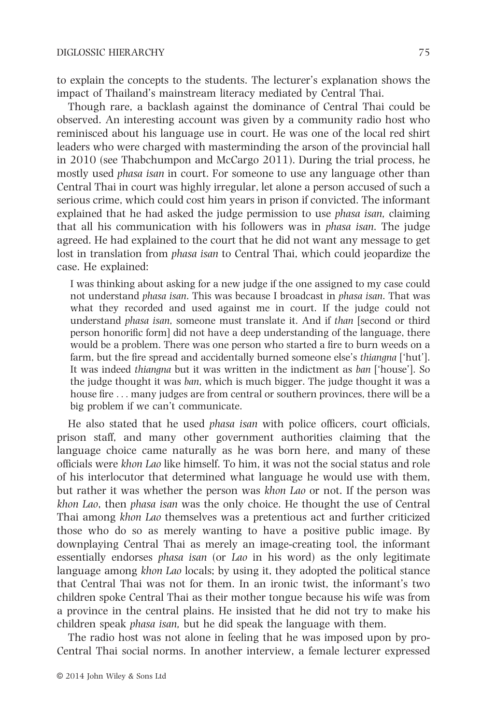to explain the concepts to the students. The lecturer's explanation shows the impact of Thailand's mainstream literacy mediated by Central Thai.

Though rare, a backlash against the dominance of Central Thai could be observed. An interesting account was given by a community radio host who reminisced about his language use in court. He was one of the local red shirt leaders who were charged with masterminding the arson of the provincial hall in 2010 (see Thabchumpon and McCargo 2011). During the trial process, he mostly used *phasa isan* in court. For someone to use any language other than Central Thai in court was highly irregular, let alone a person accused of such a serious crime, which could cost him years in prison if convicted. The informant explained that he had asked the judge permission to use phasa isan, claiming that all his communication with his followers was in phasa isan. The judge agreed. He had explained to the court that he did not want any message to get lost in translation from phasa isan to Central Thai, which could jeopardize the case. He explained:

I was thinking about asking for a new judge if the one assigned to my case could not understand phasa isan. This was because I broadcast in phasa isan. That was what they recorded and used against me in court. If the judge could not understand phasa isan, someone must translate it. And if than [second or third person honorific form] did not have a deep understanding of the language, there would be a problem. There was one person who started a fire to burn weeds on a farm, but the fire spread and accidentally burned someone else's thiangna ['hut']. It was indeed thiangna but it was written in the indictment as ban ['house']. So the judge thought it was ban, which is much bigger. The judge thought it was a house fire ... many judges are from central or southern provinces, there will be a big problem if we can't communicate.

He also stated that he used phasa isan with police officers, court officials, prison staff, and many other government authorities claiming that the language choice came naturally as he was born here, and many of these officials were khon Lao like himself. To him, it was not the social status and role of his interlocutor that determined what language he would use with them, but rather it was whether the person was khon Lao or not. If the person was khon Lao, then phasa isan was the only choice. He thought the use of Central Thai among khon Lao themselves was a pretentious act and further criticized those who do so as merely wanting to have a positive public image. By downplaying Central Thai as merely an image-creating tool, the informant essentially endorses phasa isan (or Lao in his word) as the only legitimate language among *khon Lao* locals; by using it, they adopted the political stance that Central Thai was not for them. In an ironic twist, the informant's two children spoke Central Thai as their mother tongue because his wife was from a province in the central plains. He insisted that he did not try to make his children speak phasa isan, but he did speak the language with them.

The radio host was not alone in feeling that he was imposed upon by pro-Central Thai social norms. In another interview, a female lecturer expressed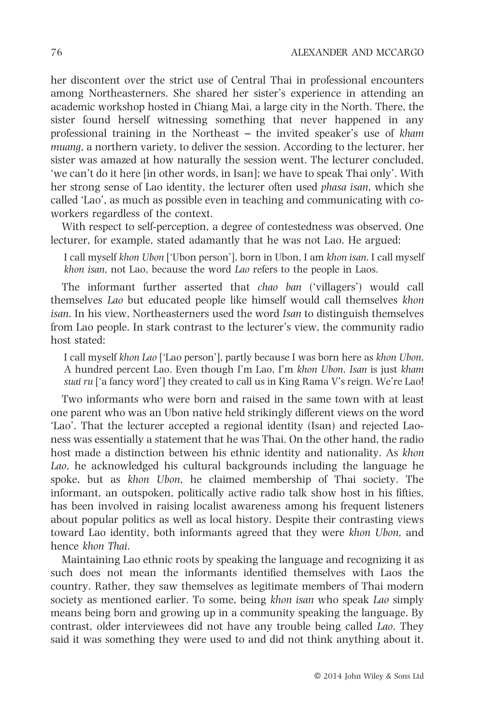her discontent over the strict use of Central Thai in professional encounters among Northeasterners. She shared her sister's experience in attending an academic workshop hosted in Chiang Mai, a large city in the North. There, the sister found herself witnessing something that never happened in any professional training in the Northeast – the invited speaker's use of kham muang, a northern variety, to deliver the session. According to the lecturer, her sister was amazed at how naturally the session went. The lecturer concluded, 'we can't do it here [in other words, in Isan]; we have to speak Thai only'. With her strong sense of Lao identity, the lecturer often used phasa isan, which she called 'Lao', as much as possible even in teaching and communicating with coworkers regardless of the context.

With respect to self-perception, a degree of contestedness was observed. One lecturer, for example, stated adamantly that he was not Lao. He argued:

I call myself khon Ubon ['Ubon person'], born in Ubon, I am khon isan. I call myself khon isan, not Lao, because the word Lao refers to the people in Laos.

The informant further asserted that chao ban ('villagers') would call themselves Lao but educated people like himself would call themselves khon isan. In his view, Northeasterners used the word Isan to distinguish themselves from Lao people. In stark contrast to the lecturer's view, the community radio host stated:

I call myself khon Lao ['Lao person'], partly because I was born here as khon Ubon. A hundred percent Lao. Even though I'm Lao, I'm khon Ubon. Isan is just kham suai ru ['a fancy word'] they created to call us in King Rama V's reign. We're Lao!

Two informants who were born and raised in the same town with at least one parent who was an Ubon native held strikingly different views on the word 'Lao'. That the lecturer accepted a regional identity (Isan) and rejected Laoness was essentially a statement that he was Thai. On the other hand, the radio host made a distinction between his ethnic identity and nationality. As khon Lao, he acknowledged his cultural backgrounds including the language he spoke, but as khon Ubon, he claimed membership of Thai society. The informant, an outspoken, politically active radio talk show host in his fifties, has been involved in raising localist awareness among his frequent listeners about popular politics as well as local history. Despite their contrasting views toward Lao identity, both informants agreed that they were khon Ubon, and hence khon Thai.

Maintaining Lao ethnic roots by speaking the language and recognizing it as such does not mean the informants identified themselves with Laos the country. Rather, they saw themselves as legitimate members of Thai modern society as mentioned earlier. To some, being khon isan who speak Lao simply means being born and growing up in a community speaking the language. By contrast, older interviewees did not have any trouble being called Lao. They said it was something they were used to and did not think anything about it.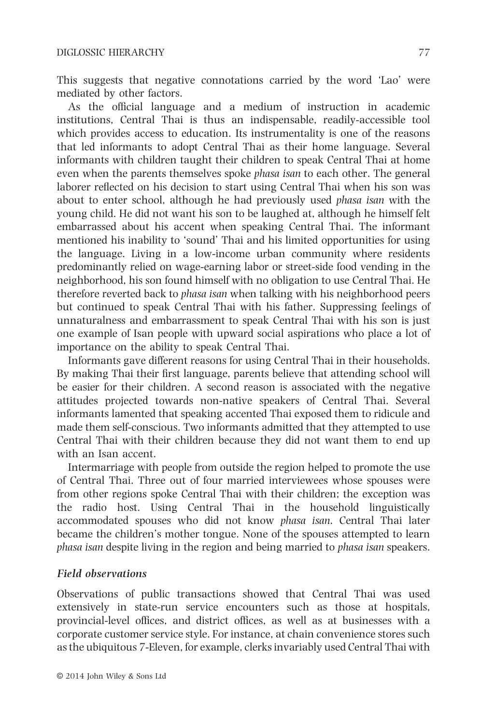This suggests that negative connotations carried by the word 'Lao' were mediated by other factors.

As the official language and a medium of instruction in academic institutions, Central Thai is thus an indispensable, readily-accessible tool which provides access to education. Its instrumentality is one of the reasons that led informants to adopt Central Thai as their home language. Several informants with children taught their children to speak Central Thai at home even when the parents themselves spoke phasa isan to each other. The general laborer reflected on his decision to start using Central Thai when his son was about to enter school, although he had previously used phasa isan with the young child. He did not want his son to be laughed at, although he himself felt embarrassed about his accent when speaking Central Thai. The informant mentioned his inability to 'sound' Thai and his limited opportunities for using the language. Living in a low-income urban community where residents predominantly relied on wage-earning labor or street-side food vending in the neighborhood, his son found himself with no obligation to use Central Thai. He therefore reverted back to phasa isan when talking with his neighborhood peers but continued to speak Central Thai with his father. Suppressing feelings of unnaturalness and embarrassment to speak Central Thai with his son is just one example of Isan people with upward social aspirations who place a lot of importance on the ability to speak Central Thai.

Informants gave different reasons for using Central Thai in their households. By making Thai their first language, parents believe that attending school will be easier for their children. A second reason is associated with the negative attitudes projected towards non-native speakers of Central Thai. Several informants lamented that speaking accented Thai exposed them to ridicule and made them self-conscious. Two informants admitted that they attempted to use Central Thai with their children because they did not want them to end up with an Isan accent.

Intermarriage with people from outside the region helped to promote the use of Central Thai. Three out of four married interviewees whose spouses were from other regions spoke Central Thai with their children; the exception was the radio host. Using Central Thai in the household linguistically accommodated spouses who did not know phasa isan. Central Thai later became the children's mother tongue. None of the spouses attempted to learn phasa isan despite living in the region and being married to phasa isan speakers.

#### Field observations

Observations of public transactions showed that Central Thai was used extensively in state-run service encounters such as those at hospitals, provincial-level offices, and district offices, as well as at businesses with a corporate customer service style. For instance, at chain convenience stores such as the ubiquitous 7-Eleven, for example, clerks invariably used Central Thai with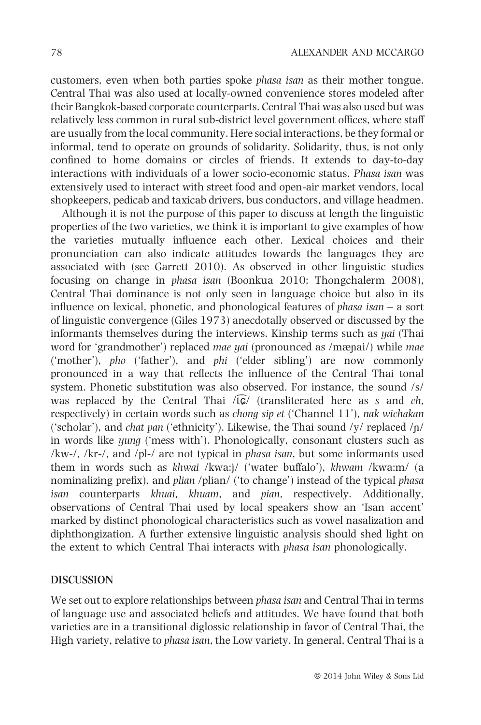customers, even when both parties spoke phasa isan as their mother tongue. Central Thai was also used at locally-owned convenience stores modeled after their Bangkok-based corporate counterparts. Central Thai was also used but was relatively less common in rural sub-district level government offices, where staff are usually from the local community. Here social interactions, be they formal or informal, tend to operate on grounds of solidarity. Solidarity, thus, is not only confined to home domains or circles of friends. It extends to day-to-day interactions with individuals of a lower socio-economic status. Phasa isan was extensively used to interact with street food and open-air market vendors, local shopkeepers, pedicab and taxicab drivers, bus conductors, and village headmen.

Although it is not the purpose of this paper to discuss at length the linguistic properties of the two varieties, we think it is important to give examples of how the varieties mutually influence each other. Lexical choices and their pronunciation can also indicate attitudes towards the languages they are associated with (see Garrett 2010). As observed in other linguistic studies focusing on change in phasa isan (Boonkua 2010; Thongchalerm 2008), Central Thai dominance is not only seen in language choice but also in its influence on lexical, phonetic, and phonological features of phasa isan – a sort of linguistic convergence (Giles 1973) anecdotally observed or discussed by the informants themselves during the interviews. Kinship terms such as yai (Thai word for 'grandmother') replaced *mae yai* (pronounced as /mænai/) while *mae* ('mother'), pho ('father'), and phi ('elder sibling') are now commonly pronounced in a way that reflects the influence of the Central Thai tonal system. Phonetic substitution was also observed. For instance, the sound /s/ was replaced by the Central Thai  $\sqrt{t}$  (transliterated here as s and *ch*, respectively) in certain words such as chong sip et ('Channel 11'), nak wichakan ('scholar'), and *chat pan* ('ethnicity'). Likewise, the Thai sound  $/y/$  replaced  $/p/$ in words like yung ('mess with'). Phonologically, consonant clusters such as /kw-/, /kr-/, and /pl-/ are not typical in phasa isan, but some informants used them in words such as khwai /kwa:j/ ('water buffalo'), khwam /kwa:m/ (a nominalizing prefix), and plian /plian/ ('to change') instead of the typical phasa isan counterparts khuai, khuam, and pian, respectively. Additionally, observations of Central Thai used by local speakers show an 'Isan accent' marked by distinct phonological characteristics such as vowel nasalization and diphthongization. A further extensive linguistic analysis should shed light on the extent to which Central Thai interacts with phasa isan phonologically.

#### DISCUSSION

We set out to explore relationships between phasa isan and Central Thai in terms of language use and associated beliefs and attitudes. We have found that both varieties are in a transitional diglossic relationship in favor of Central Thai, the High variety, relative to phasa isan, the Low variety. In general, Central Thai is a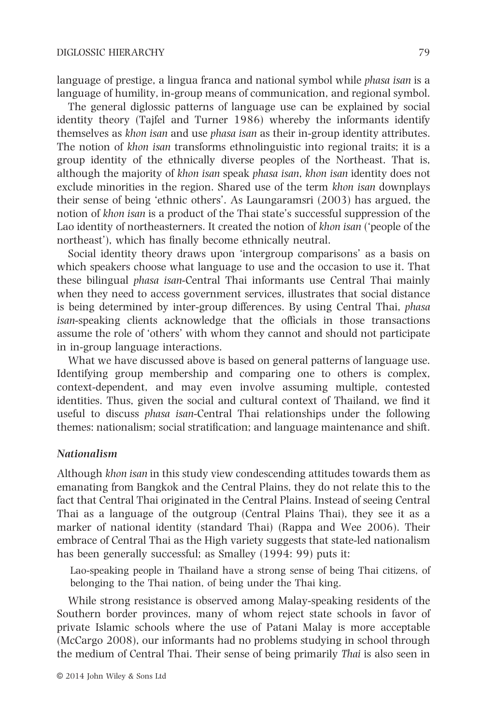language of prestige, a lingua franca and national symbol while phasa isan is a language of humility, in-group means of communication, and regional symbol.

The general diglossic patterns of language use can be explained by social identity theory (Tajfel and Turner 1986) whereby the informants identify themselves as khon isan and use phasa isan as their in-group identity attributes. The notion of khon isan transforms ethnolinguistic into regional traits; it is a group identity of the ethnically diverse peoples of the Northeast. That is, although the majority of khon isan speak phasa isan, khon isan identity does not exclude minorities in the region. Shared use of the term khon isan downplays their sense of being 'ethnic others'. As Laungaramsri (2003) has argued, the notion of khon isan is a product of the Thai state's successful suppression of the Lao identity of northeasterners. It created the notion of khon isan ('people of the northeast'), which has finally become ethnically neutral.

Social identity theory draws upon 'intergroup comparisons' as a basis on which speakers choose what language to use and the occasion to use it. That these bilingual phasa isan-Central Thai informants use Central Thai mainly when they need to access government services, illustrates that social distance is being determined by inter-group differences. By using Central Thai, phasa isan-speaking clients acknowledge that the officials in those transactions assume the role of 'others' with whom they cannot and should not participate in in-group language interactions.

What we have discussed above is based on general patterns of language use. Identifying group membership and comparing one to others is complex, context-dependent, and may even involve assuming multiple, contested identities. Thus, given the social and cultural context of Thailand, we find it useful to discuss phasa isan-Central Thai relationships under the following themes: nationalism; social stratification; and language maintenance and shift.

#### Nationalism

Although khon isan in this study view condescending attitudes towards them as emanating from Bangkok and the Central Plains, they do not relate this to the fact that Central Thai originated in the Central Plains. Instead of seeing Central Thai as a language of the outgroup (Central Plains Thai), they see it as a marker of national identity (standard Thai) (Rappa and Wee 2006). Their embrace of Central Thai as the High variety suggests that state-led nationalism has been generally successful; as Smalley (1994: 99) puts it:

Lao-speaking people in Thailand have a strong sense of being Thai citizens, of belonging to the Thai nation, of being under the Thai king.

While strong resistance is observed among Malay-speaking residents of the Southern border provinces, many of whom reject state schools in favor of private Islamic schools where the use of Patani Malay is more acceptable (McCargo 2008), our informants had no problems studying in school through the medium of Central Thai. Their sense of being primarily Thai is also seen in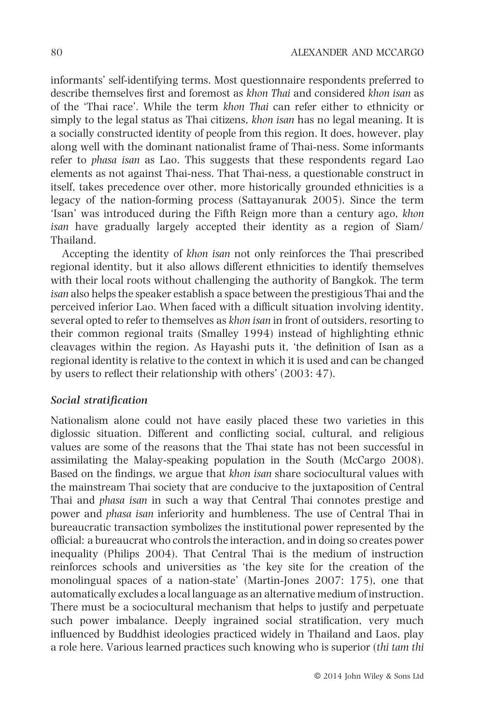informants' self-identifying terms. Most questionnaire respondents preferred to describe themselves first and foremost as khon Thai and considered khon isan as of the 'Thai race'. While the term khon Thai can refer either to ethnicity or simply to the legal status as Thai citizens, khon isan has no legal meaning. It is a socially constructed identity of people from this region. It does, however, play along well with the dominant nationalist frame of Thai-ness. Some informants refer to phasa isan as Lao. This suggests that these respondents regard Lao elements as not against Thai-ness. That Thai-ness, a questionable construct in itself, takes precedence over other, more historically grounded ethnicities is a legacy of the nation-forming process (Sattayanurak 2005). Since the term 'Isan' was introduced during the Fifth Reign more than a century ago, khon isan have gradually largely accepted their identity as a region of Siam/ Thailand.

Accepting the identity of khon isan not only reinforces the Thai prescribed regional identity, but it also allows different ethnicities to identify themselves with their local roots without challenging the authority of Bangkok. The term isan also helps the speaker establish a space between the prestigious Thai and the perceived inferior Lao. When faced with a difficult situation involving identity, several opted to refer to themselves as khon isan in front of outsiders, resorting to their common regional traits (Smalley 1994) instead of highlighting ethnic cleavages within the region. As Hayashi puts it, 'the definition of Isan as a regional identity is relative to the context in which it is used and can be changed by users to reflect their relationship with others' (2003: 47).

#### Social stratification

Nationalism alone could not have easily placed these two varieties in this diglossic situation. Different and conflicting social, cultural, and religious values are some of the reasons that the Thai state has not been successful in assimilating the Malay-speaking population in the South (McCargo 2008). Based on the findings, we argue that khon isan share sociocultural values with the mainstream Thai society that are conducive to the juxtaposition of Central Thai and phasa isan in such a way that Central Thai connotes prestige and power and phasa isan inferiority and humbleness. The use of Central Thai in bureaucratic transaction symbolizes the institutional power represented by the official: a bureaucrat who controls the interaction, and in doing so creates power inequality (Philips 2004). That Central Thai is the medium of instruction reinforces schools and universities as 'the key site for the creation of the monolingual spaces of a nation-state' (Martin-Jones 2007: 175), one that automatically excludes a local language as an alternative medium of instruction. There must be a sociocultural mechanism that helps to justify and perpetuate such power imbalance. Deeply ingrained social stratification, very much influenced by Buddhist ideologies practiced widely in Thailand and Laos, play a role here. Various learned practices such knowing who is superior (thi tam thi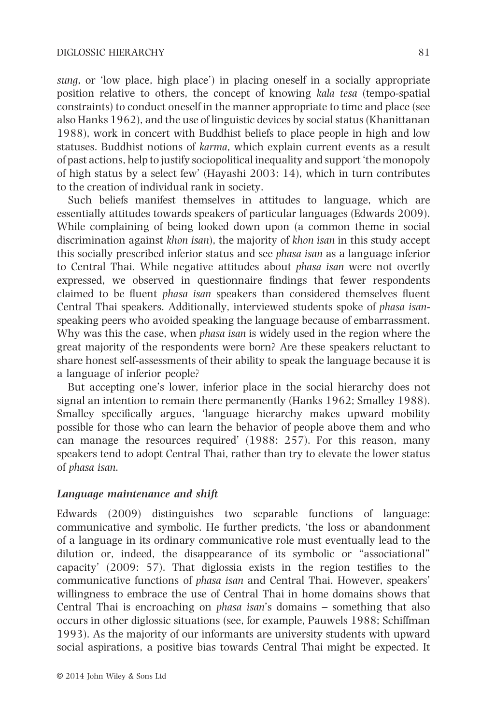sung, or 'low place, high place') in placing oneself in a socially appropriate position relative to others, the concept of knowing kala tesa (tempo-spatial constraints) to conduct oneself in the manner appropriate to time and place (see also Hanks 1962), and the use of linguistic devices by social status (Khanittanan 1988), work in concert with Buddhist beliefs to place people in high and low statuses. Buddhist notions of karma, which explain current events as a result of past actions, help to justify sociopolitical inequality and support 'the monopoly of high status by a select few' (Hayashi 2003: 14), which in turn contributes to the creation of individual rank in society.

Such beliefs manifest themselves in attitudes to language, which are essentially attitudes towards speakers of particular languages (Edwards 2009). While complaining of being looked down upon (a common theme in social discrimination against *khon isan*), the majority of *khon isan* in this study accept this socially prescribed inferior status and see phasa isan as a language inferior to Central Thai. While negative attitudes about phasa isan were not overtly expressed, we observed in questionnaire findings that fewer respondents claimed to be fluent phasa isan speakers than considered themselves fluent Central Thai speakers. Additionally, interviewed students spoke of phasa isanspeaking peers who avoided speaking the language because of embarrassment. Why was this the case, when *phasa isan* is widely used in the region where the great majority of the respondents were born? Are these speakers reluctant to share honest self-assessments of their ability to speak the language because it is a language of inferior people?

But accepting one's lower, inferior place in the social hierarchy does not signal an intention to remain there permanently (Hanks 1962; Smalley 1988). Smalley specifically argues, 'language hierarchy makes upward mobility possible for those who can learn the behavior of people above them and who can manage the resources required' (1988: 257). For this reason, many speakers tend to adopt Central Thai, rather than try to elevate the lower status of phasa isan.

#### Language maintenance and shift

Edwards (2009) distinguishes two separable functions of language: communicative and symbolic. He further predicts, 'the loss or abandonment of a language in its ordinary communicative role must eventually lead to the dilution or, indeed, the disappearance of its symbolic or "associational" capacity' (2009: 57). That diglossia exists in the region testifies to the communicative functions of phasa isan and Central Thai. However, speakers' willingness to embrace the use of Central Thai in home domains shows that Central Thai is encroaching on phasa isan's domains – something that also occurs in other diglossic situations (see, for example, Pauwels 1988; Schiffman 1993). As the majority of our informants are university students with upward social aspirations, a positive bias towards Central Thai might be expected. It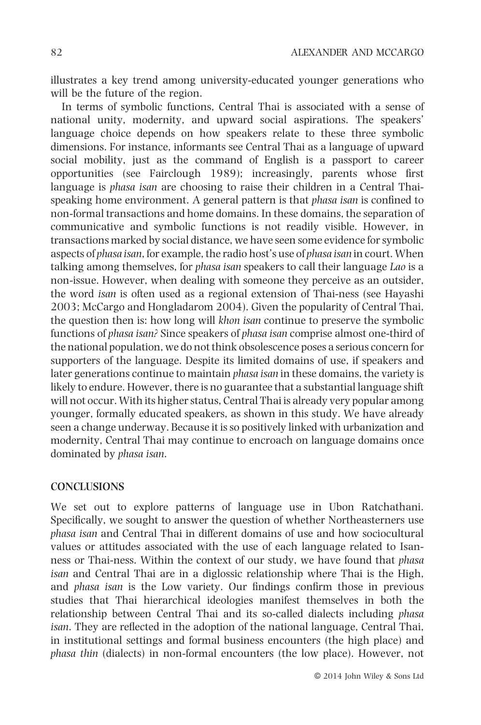illustrates a key trend among university-educated younger generations who will be the future of the region.

In terms of symbolic functions, Central Thai is associated with a sense of national unity, modernity, and upward social aspirations. The speakers' language choice depends on how speakers relate to these three symbolic dimensions. For instance, informants see Central Thai as a language of upward social mobility, just as the command of English is a passport to career opportunities (see Fairclough 1989); increasingly, parents whose first language is phasa isan are choosing to raise their children in a Central Thaispeaking home environment. A general pattern is that phasa isan is confined to non-formal transactions and home domains. In these domains, the separation of communicative and symbolic functions is not readily visible. However, in transactions marked by social distance, we have seen some evidence for symbolic aspects of phasa isan, for example, the radio host's use of phasa isan in court. When talking among themselves, for phasa isan speakers to call their language Lao is a non-issue. However, when dealing with someone they perceive as an outsider, the word isan is often used as a regional extension of Thai-ness (see Hayashi 2003; McCargo and Hongladarom 2004). Given the popularity of Central Thai, the question then is: how long will khon isan continue to preserve the symbolic functions of phasa isan? Since speakers of phasa isan comprise almost one-third of the national population, we do not think obsolescence poses a serious concern for supporters of the language. Despite its limited domains of use, if speakers and later generations continue to maintain phasa isan in these domains, the variety is likely to endure. However, there is no guarantee that a substantial language shift will not occur. With its higher status, Central Thai is already very popular among younger, formally educated speakers, as shown in this study. We have already seen a change underway. Because it is so positively linked with urbanization and modernity, Central Thai may continue to encroach on language domains once dominated by phasa isan.

#### **CONCLUSIONS**

We set out to explore patterns of language use in Ubon Ratchathani. Specifically, we sought to answer the question of whether Northeasterners use phasa isan and Central Thai in different domains of use and how sociocultural values or attitudes associated with the use of each language related to Isanness or Thai-ness. Within the context of our study, we have found that phasa isan and Central Thai are in a diglossic relationship where Thai is the High, and phasa isan is the Low variety. Our findings confirm those in previous studies that Thai hierarchical ideologies manifest themselves in both the relationship between Central Thai and its so-called dialects including phasa isan. They are reflected in the adoption of the national language, Central Thai, in institutional settings and formal business encounters (the high place) and phasa thin (dialects) in non-formal encounters (the low place). However, not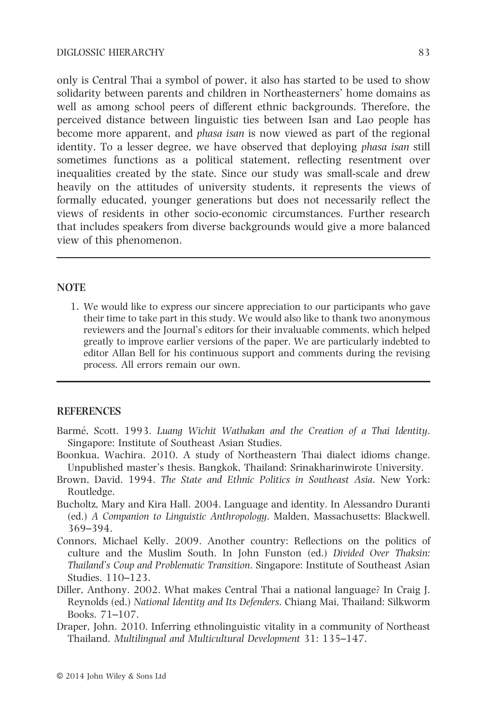only is Central Thai a symbol of power, it also has started to be used to show solidarity between parents and children in Northeasterners' home domains as well as among school peers of different ethnic backgrounds. Therefore, the perceived distance between linguistic ties between Isan and Lao people has become more apparent, and phasa isan is now viewed as part of the regional identity. To a lesser degree, we have observed that deploying phasa isan still sometimes functions as a political statement, reflecting resentment over inequalities created by the state. Since our study was small-scale and drew heavily on the attitudes of university students, it represents the views of formally educated, younger generations but does not necessarily reflect the views of residents in other socio-economic circumstances. Further research that includes speakers from diverse backgrounds would give a more balanced view of this phenomenon.

#### **NOTE**

1. We would like to express our sincere appreciation to our participants who gave their time to take part in this study. We would also like to thank two anonymous reviewers and the Journal's editors for their invaluable comments, which helped greatly to improve earlier versions of the paper. We are particularly indebted to editor Allan Bell for his continuous support and comments during the revising process. All errors remain our own.

# **REFERENCES**

- Barmé, Scott. 1993. Luang Wichit Wathakan and the Creation of a Thai Identity. Singapore: Institute of Southeast Asian Studies.
- Boonkua, Wachira. 2010. A study of Northeastern Thai dialect idioms change. Unpublished master's thesis. Bangkok, Thailand: Srinakharinwirote University.
- Brown, David. 1994. The State and Ethnic Politics in Southeast Asia. New York: Routledge.
- Bucholtz, Mary and Kira Hall. 2004. Language and identity. In Alessandro Duranti (ed.) A Companion to Linguistic Anthropology. Malden, Massachusetts: Blackwell. 369–394.
- Connors, Michael Kelly. 2009. Another country: Reflections on the politics of culture and the Muslim South. In John Funston (ed.) Divided Over Thaksin: Thailand's Coup and Problematic Transition. Singapore: Institute of Southeast Asian Studies. 110–123.
- Diller, Anthony. 2002. What makes Central Thai a national language? In Craig J. Reynolds (ed.) National Identity and Its Defenders. Chiang Mai, Thailand: Silkworm Books. 71–107.
- Draper, John. 2010. Inferring ethnolinguistic vitality in a community of Northeast Thailand. Multilingual and Multicultural Development 31: 135–147.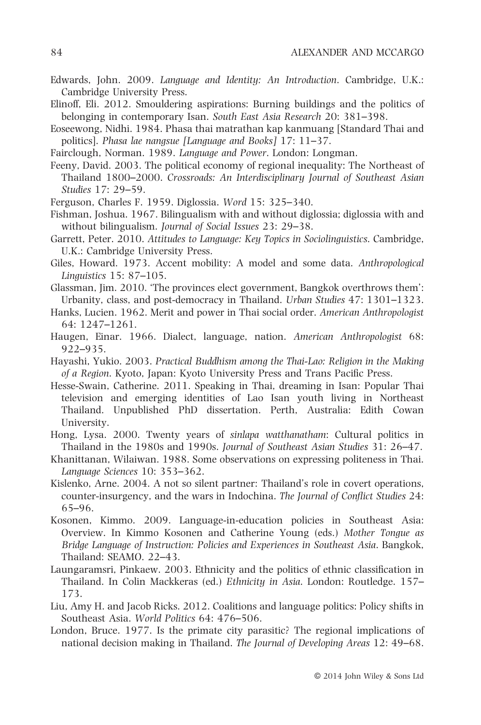- Edwards, John. 2009. Language and Identity: An Introduction. Cambridge, U.K.: Cambridge University Press.
- Elinoff, Eli. 2012. Smouldering aspirations: Burning buildings and the politics of belonging in contemporary Isan. South East Asia Research 20: 381–398.
- Eoseewong, Nidhi. 1984. Phasa thai matrathan kap kanmuang [Standard Thai and politics]. Phasa lae nangsue [Language and Books] 17: 11–37.
- Fairclough, Norman. 1989. Language and Power. London: Longman.
- Feeny, David. 2003. The political economy of regional inequality: The Northeast of Thailand 1800–2000. Crossroads: An Interdisciplinary Journal of Southeast Asian Studies 17: 29–59.
- Ferguson, Charles F. 1959. Diglossia. Word 15: 325–340.
- Fishman, Joshua. 1967. Bilingualism with and without diglossia; diglossia with and without bilingualism. Journal of Social Issues 23: 29–38.
- Garrett, Peter. 2010. Attitudes to Language: Key Topics in Sociolinguistics. Cambridge, U.K.: Cambridge University Press.
- Giles, Howard. 1973. Accent mobility: A model and some data. Anthropological Linguistics 15: 87–105.
- Glassman, Jim. 2010. 'The provinces elect government, Bangkok overthrows them': Urbanity, class, and post-democracy in Thailand. Urban Studies 47: 1301–1323.
- Hanks, Lucien. 1962. Merit and power in Thai social order. American Anthropologist 64: 1247–1261.
- Haugen, Einar. 1966. Dialect, language, nation. American Anthropologist 68: 922–935.
- Hayashi, Yukio. 2003. Practical Buddhism among the Thai-Lao: Religion in the Making of a Region. Kyoto, Japan: Kyoto University Press and Trans Pacific Press.
- Hesse-Swain, Catherine. 2011. Speaking in Thai, dreaming in Isan: Popular Thai television and emerging identities of Lao Isan youth living in Northeast Thailand. Unpublished PhD dissertation. Perth, Australia: Edith Cowan University.
- Hong, Lysa. 2000. Twenty years of sinlapa watthanatham: Cultural politics in Thailand in the 1980s and 1990s. Journal of Southeast Asian Studies 31: 26–47.
- Khanittanan, Wilaiwan. 1988. Some observations on expressing politeness in Thai. Language Sciences 10: 353–362.
- Kislenko, Arne. 2004. A not so silent partner: Thailand's role in covert operations, counter-insurgency, and the wars in Indochina. The Journal of Conflict Studies 24: 65–96.
- Kosonen, Kimmo. 2009. Language-in-education policies in Southeast Asia: Overview. In Kimmo Kosonen and Catherine Young (eds.) Mother Tongue as Bridge Language of Instruction: Policies and Experiences in Southeast Asia. Bangkok, Thailand: SEAMO. 22–43.
- Laungaramsri, Pinkaew. 2003. Ethnicity and the politics of ethnic classification in Thailand. In Colin Mackkeras (ed.) Ethnicity in Asia. London: Routledge. 157– 173.
- Liu, Amy H. and Jacob Ricks. 2012. Coalitions and language politics: Policy shifts in Southeast Asia. World Politics 64: 476–506.
- London, Bruce. 1977. Is the primate city parasitic? The regional implications of national decision making in Thailand. The Journal of Developing Areas 12: 49–68.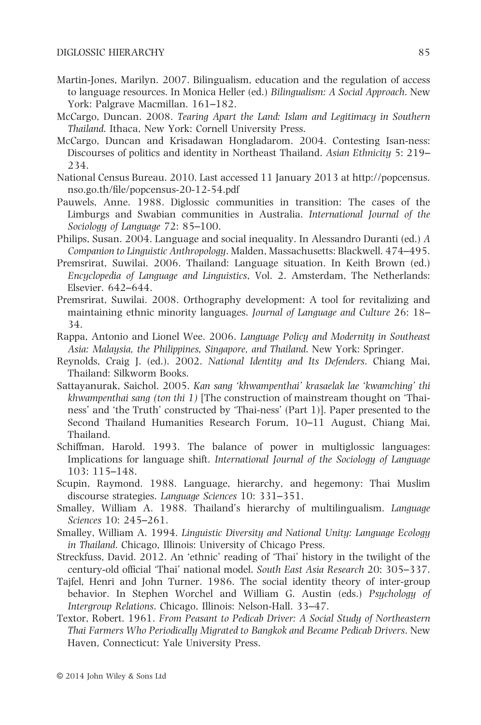- Martin-Jones, Marilyn. 2007. Bilingualism, education and the regulation of access to language resources. In Monica Heller (ed.) Bilingualism: A Social Approach. New York: Palgrave Macmillan. 161–182.
- McCargo, Duncan. 2008. Tearing Apart the Land: Islam and Legitimacy in Southern Thailand. Ithaca, New York: Cornell University Press.
- McCargo, Duncan and Krisadawan Hongladarom. 2004. Contesting Isan-ness: Discourses of politics and identity in Northeast Thailand. Asian Ethnicity 5: 219– 234.
- National Census Bureau. 2010. Last accessed 11 January 2013 at http://popcensus. nso.go.th/file/popcensus-20-12-54.pdf
- Pauwels, Anne. 1988. Diglossic communities in transition: The cases of the Limburgs and Swabian communities in Australia. International Journal of the Sociology of Language 72: 85–100.
- Philips, Susan. 2004. Language and social inequality. In Alessandro Duranti (ed.) A Companion to Linguistic Anthropology. Malden, Massachusetts: Blackwell. 474–495.
- Premsrirat, Suwilai. 2006. Thailand: Language situation. In Keith Brown (ed.) Encyclopedia of Language and Linguistics, Vol. 2. Amsterdam, The Netherlands: Elsevier. 642–644.
- Premsrirat, Suwilai. 2008. Orthography development: A tool for revitalizing and maintaining ethnic minority languages. Journal of Language and Culture 26: 18– 34.
- Rappa, Antonio and Lionel Wee. 2006. Language Policy and Modernity in Southeast Asia: Malaysia, the Philippines, Singapore, and Thailand. New York: Springer.
- Reynolds, Craig J. (ed.). 2002. National Identity and Its Defenders. Chiang Mai, Thailand: Silkworm Books.
- Sattayanurak, Saichol. 2005. Kan sang 'khwampenthai' krasaelak lae 'kwamching' thi khwampenthai sang (ton thi 1) [The construction of mainstream thought on 'Thainess' and 'the Truth' constructed by 'Thai-ness' (Part 1)]. Paper presented to the Second Thailand Humanities Research Forum, 10–11 August, Chiang Mai, Thailand.
- Schiffman, Harold. 1993. The balance of power in multiglossic languages: Implications for language shift. International Journal of the Sociology of Language 103: 115–148.
- Scupin, Raymond. 1988. Language, hierarchy, and hegemony: Thai Muslim discourse strategies. Language Sciences 10: 331–351.
- Smalley, William A. 1988. Thailand's hierarchy of multilingualism. Language Sciences 10: 245–261.
- Smalley, William A. 1994. Linguistic Diversity and National Unity: Language Ecology in Thailand. Chicago, Illinois: University of Chicago Press.
- Streckfuss, David. 2012. An 'ethnic' reading of 'Thai' history in the twilight of the century-old official 'Thai' national model. South East Asia Research 20: 305–337.
- Tajfel, Henri and John Turner. 1986. The social identity theory of inter-group behavior. In Stephen Worchel and William G. Austin (eds.) Psychology of Intergroup Relations. Chicago, Illinois: Nelson-Hall. 33–47.
- Textor, Robert. 1961. From Peasant to Pedicab Driver: A Social Study of Northeastern Thai Farmers Who Periodically Migrated to Bangkok and Became Pedicab Drivers. New Haven, Connecticut: Yale University Press.